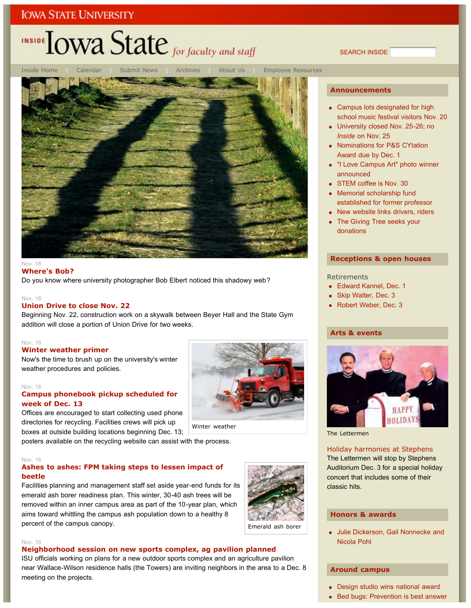## INSIDE **LOWA State** for faculty and staff

SEARCH INSIDE



#### Nov. 18 **Where's Bob?**

Do you know where university photographer Bob Elbert noticed this shadowy web?

### Nov. 18

#### **Union Drive to close Nov. 22**

Beginning Nov. 22, construction work on a skywalk between Beyer Hall and the State Gym addition will close a portion of Union Drive for two weeks.

#### Nov. 18

### **Winter weather primer**

Now's the time to brush up on the university's winter weather procedures and policies.

#### Nov. 18

### **Campus phonebook pickup scheduled for week of Dec. 13**

Offices are encouraged to start collecting used phone directories for recycling. Facilities crews will pick up boxes at outside building locations beginning Dec. 13;

posters available on the recycling website can assist with the process.

### Nov. 18

### **Ashes to ashes: FPM taking steps to lessen impact of beetle**

Facilities planning and management staff set aside year-end funds for its emerald ash borer readiness plan. This winter, 30-40 ash trees will be removed within an inner campus area as part of the 10-year plan, which aims toward whittling the campus ash population down to a healthy 8 percent of the campus canopy.



Winter weather

Emerald ash borer

#### Nov. 18

### **Neighborhood session on new sports complex, ag pavilion planned**

ISU officials working on plans for a new outdoor sports complex and an agriculture pavilion near Wallace-Wilson residence halls (the Towers) are inviting neighbors in the area to a Dec. 8 meeting on the projects.

### **Announcements**

- Campus lots designated for high school music festival visitors Nov. 20
- University closed Nov. 25-26; no *Inside* on Nov. 25
- Nominations for P&S CYtation Award due by Dec. 1
- "I Love Campus Art" photo winner announced
- STEM coffee is Nov. 30
- Memorial scholarship fund established for former professor
- New website links drivers, riders
- The Giving Tree seeks your donations

### **Receptions & open houses**

#### **Retirements**

- Edward Kannel, Dec. 1
- Skip Walter, Dec. 3
- Robert Weber, Dec. 3

#### **Arts & events**



The Lettermen

### Holiday harmonies at Stephens

The Lettermen will stop by Stephens Auditorium Dec. 3 for a special holiday concert that includes some of their classic hits.

### **Honors & awards**

Julie Dickerson, Gail Nonnecke and Nicola Pohl

#### **Around campus**

- Design studio wins national award
- Bed bugs: Prevention is best answer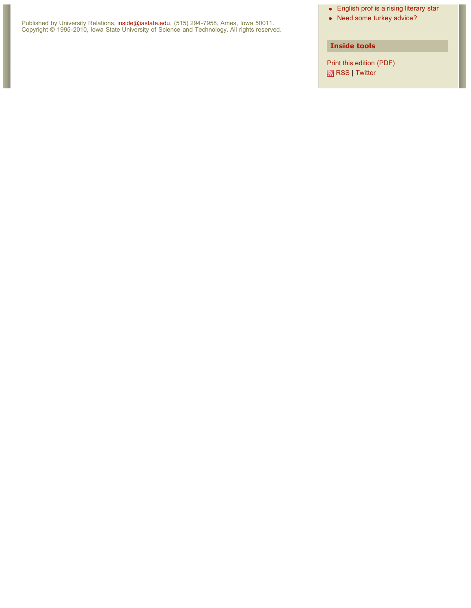Published by University Relations, inside@iastate.edu, (515) 294-7958, Ames, Iowa 50011. Copyright © 1995-2010, Iowa State University of Science and Technology. All rights reserved.

### English prof is a rising literary star

• Need some turkey advice?

### **Inside tools**

Print this edition (PDF) RSS | Twitter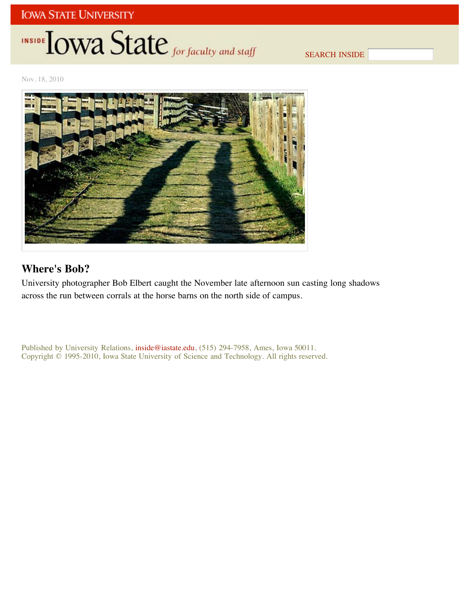# INSIDE LOWA State for faculty and staff

SEARCH INSIDE

Nov. 18, 2010



## **Where's Bob?**

University photographer Bob Elbert caught the November late afternoon sun casting long shadows across the run between corrals at the horse barns on the north side of campus.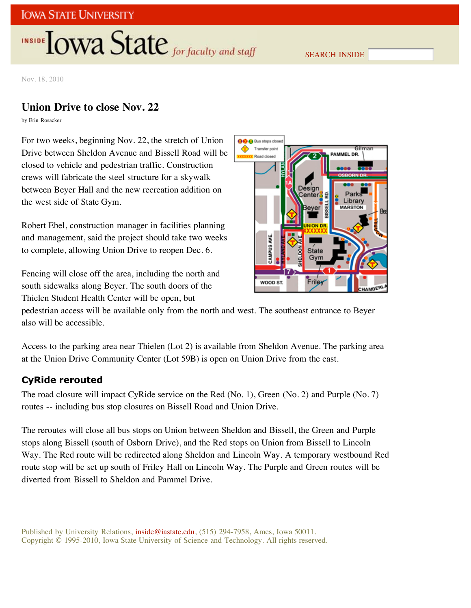# INSIDE **LOWA State** for faculty and staff

SEARCH INSIDE

Nov. 18, 2010

## **Union Drive to close Nov. 22**

by Erin Rosacker

For two weeks, beginning Nov. 22, the stretch of Union Drive between Sheldon Avenue and Bissell Road will be closed to vehicle and pedestrian traffic. Construction crews will fabricate the steel structure for a skywalk between Beyer Hall and the new recreation addition on the west side of State Gym.

Robert Ebel, construction manager in facilities planning and management, said the project should take two weeks to complete, allowing Union Drive to reopen Dec. 6.

Fencing will close off the area, including the north and south sidewalks along Beyer. The south doors of the Thielen Student Health Center will be open, but



pedestrian access will be available only from the north and west. The southeast entrance to Beyer also will be accessible.

Access to the parking area near Thielen (Lot 2) is available from Sheldon Avenue. The parking area at the Union Drive Community Center (Lot 59B) is open on Union Drive from the east.

### **CyRide rerouted**

The road closure will impact CyRide service on the Red (No. 1), Green (No. 2) and Purple (No. 7) routes -- including bus stop closures on Bissell Road and Union Drive.

The reroutes will close all bus stops on Union between Sheldon and Bissell, the Green and Purple stops along Bissell (south of Osborn Drive), and the Red stops on Union from Bissell to Lincoln Way. The Red route will be redirected along Sheldon and Lincoln Way. A temporary westbound Red route stop will be set up south of Friley Hall on Lincoln Way. The Purple and Green routes will be diverted from Bissell to Sheldon and Pammel Drive.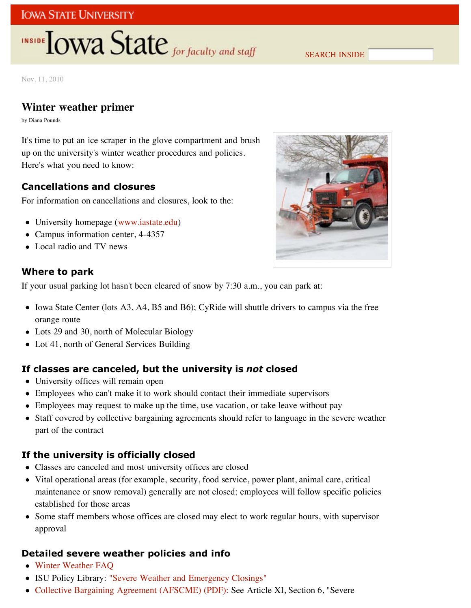## **INSIDE TOWA State** for faculty and staff

SEARCH INSIDE

Nov. 11, 2010

## **Winter weather primer**

by Diana Pounds

It's time to put an ice scraper in the glove compartment and brush up on the university's winter weather procedures and policies. Here's what you need to know:

## **Cancellations and closures**

For information on cancellations and closures, look to the:

- University homepage (www.iastate.edu)
- Campus information center, 4-4357
- Local radio and TV news

## **Where to park**

If your usual parking lot hasn't been cleared of snow by 7:30 a.m., you can park at:

- Iowa State Center (lots A3, A4, B5 and B6); CyRide will shuttle drivers to campus via the free orange route
- Lots 29 and 30, north of Molecular Biology
- Lot 41, north of General Services Building

## **If classes are canceled, but the university is** *not* **closed**

- University offices will remain open
- Employees who can't make it to work should contact their immediate supervisors
- Employees may request to make up the time, use vacation, or take leave without pay
- Staff covered by collective bargaining agreements should refer to language in the severe weather part of the contract

## **If the university is officially closed**

- Classes are canceled and most university offices are closed
- Vital operational areas (for example, security, food service, power plant, animal care, critical maintenance or snow removal) generally are not closed; employees will follow specific policies established for those areas
- Some staff members whose offices are closed may elect to work regular hours, with supervisor approval

## **Detailed severe weather policies and info**

- Winter Weather FAQ
- ISU Policy Library: "Severe Weather and Emergency Closings"
- Collective Bargaining Agreement (AFSCME) (PDF): See Article XI, Section 6, "Severe

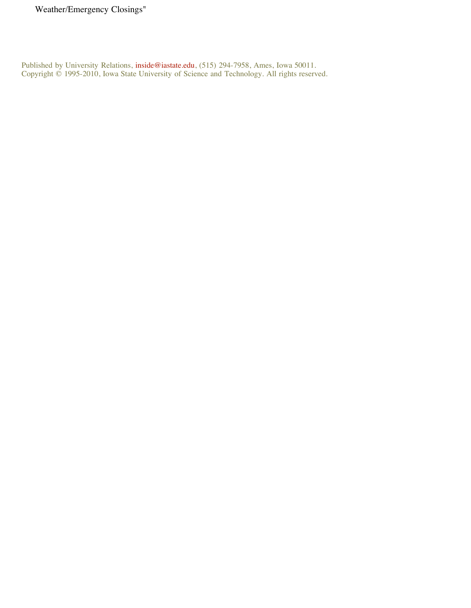Weather/Emergency Closings"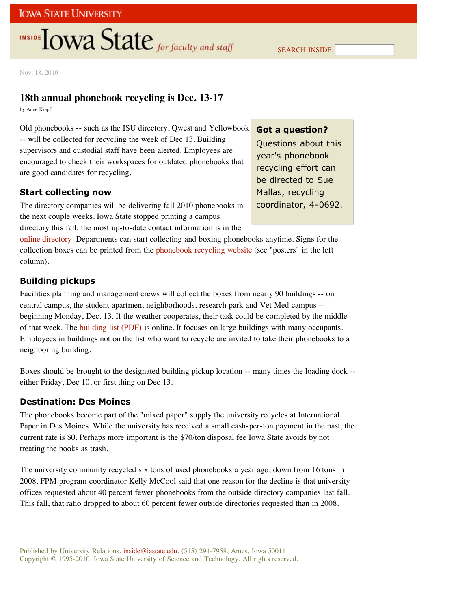## **INSIDE TOWA State** for faculty and staff

SEARCH INSIDE

Nov. 18, 2010

### **18th annual phonebook recycling is Dec. 13-17**

by Anne Krapfl

Old phonebooks -- such as the ISU directory, Qwest and Yellowbook -- will be collected for recycling the week of Dec 13. Building supervisors and custodial staff have been alerted. Employees are encouraged to check their workspaces for outdated phonebooks that are good candidates for recycling.

### **Start collecting now**

The directory companies will be delivering fall 2010 phonebooks in the next couple weeks. Iowa State stopped printing a campus directory this fall; the most up-to-date contact information is in the

### **Got a question?**

Questions about this year's phonebook recycling effort can be directed to Sue Mallas, recycling coordinator, 4-0692.

online directory. Departments can start collecting and boxing phonebooks anytime. Signs for the collection boxes can be printed from the phonebook recycling website (see "posters" in the left column).

### **Building pickups**

Facilities planning and management crews will collect the boxes from nearly 90 buildings -- on central campus, the student apartment neighborhoods, research park and Vet Med campus - beginning Monday, Dec. 13. If the weather cooperates, their task could be completed by the middle of that week. The building list (PDF) is online. It focuses on large buildings with many occupants. Employees in buildings not on the list who want to recycle are invited to take their phonebooks to a neighboring building.

Boxes should be brought to the designated building pickup location -- many times the loading dock - either Friday, Dec 10, or first thing on Dec 13.

### **Destination: Des Moines**

The phonebooks become part of the "mixed paper" supply the university recycles at International Paper in Des Moines. While the university has received a small cash-per-ton payment in the past, the current rate is \$0. Perhaps more important is the \$70/ton disposal fee Iowa State avoids by not treating the books as trash.

The university community recycled six tons of used phonebooks a year ago, down from 16 tons in 2008. FPM program coordinator Kelly McCool said that one reason for the decline is that university offices requested about 40 percent fewer phonebooks from the outside directory companies last fall. This fall, that ratio dropped to about 60 percent fewer outside directories requested than in 2008.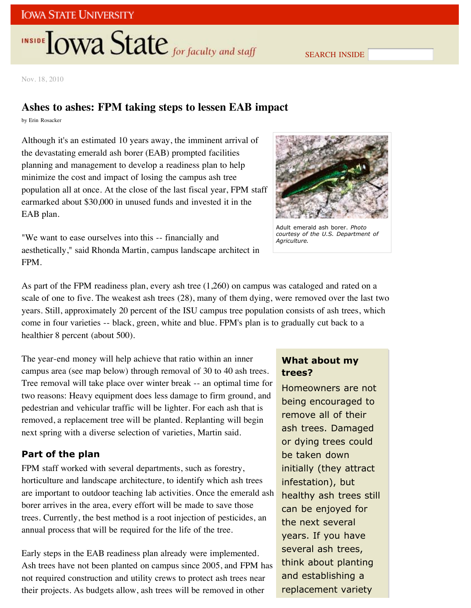# **INSIDE TOWA State** for faculty and staff

SEARCH INSIDE

Nov. 18, 2010

### **Ashes to ashes: FPM taking steps to lessen EAB impact**

by Erin Rosacker

Although it's an estimated 10 years away, the imminent arrival of the devastating emerald ash borer (EAB) prompted facilities planning and management to develop a readiness plan to help minimize the cost and impact of losing the campus ash tree population all at once. At the close of the last fiscal year, FPM staff earmarked about \$30,000 in unused funds and invested it in the EAB plan.



Adult emerald ash borer. *Photo courtesy of the U.S. Department of Agriculture.*

"We want to ease ourselves into this -- financially and aesthetically," said Rhonda Martin, campus landscape architect in FPM.

As part of the FPM readiness plan, every ash tree (1,260) on campus was cataloged and rated on a scale of one to five. The weakest ash trees (28), many of them dying, were removed over the last two years. Still, approximately 20 percent of the ISU campus tree population consists of ash trees, which come in four varieties -- black, green, white and blue. FPM's plan is to gradually cut back to a healthier 8 percent (about 500).

The year-end money will help achieve that ratio within an inner campus area (see map below) through removal of 30 to 40 ash trees. Tree removal will take place over winter break -- an optimal time for two reasons: Heavy equipment does less damage to firm ground, and pedestrian and vehicular traffic will be lighter. For each ash that is removed, a replacement tree will be planted. Replanting will begin next spring with a diverse selection of varieties, Martin said.

### **Part of the plan**

FPM staff worked with several departments, such as forestry, horticulture and landscape architecture, to identify which ash trees are important to outdoor teaching lab activities. Once the emerald ash borer arrives in the area, every effort will be made to save those trees. Currently, the best method is a root injection of pesticides, an annual process that will be required for the life of the tree.

Early steps in the EAB readiness plan already were implemented. Ash trees have not been planted on campus since 2005, and FPM has not required construction and utility crews to protect ash trees near their projects. As budgets allow, ash trees will be removed in other

## **What about my trees?**

Homeowners are not being encouraged to remove all of their ash trees. Damaged or dying trees could be taken down initially (they attract infestation), but healthy ash trees still can be enjoyed for the next several years. If you have several ash trees, think about planting and establishing a replacement variety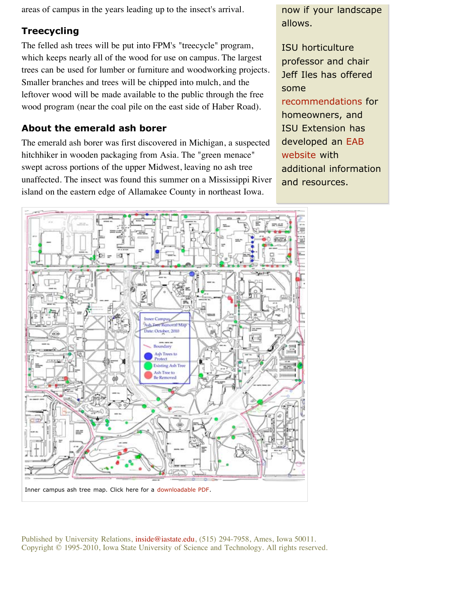areas of campus in the years leading up to the insect's arrival.

## **Treecycling**

The felled ash trees will be put into FPM's "treecycle" program, which keeps nearly all of the wood for use on campus. The largest trees can be used for lumber or furniture and woodworking projects. Smaller branches and trees will be chipped into mulch, and the leftover wood will be made available to the public through the free wood program (near the coal pile on the east side of Haber Road).

## **About the emerald ash borer**

The emerald ash borer was first discovered in Michigan, a suspected hitchhiker in wooden packaging from Asia. The "green menace" swept across portions of the upper Midwest, leaving no ash tree unaffected. The insect was found this summer on a Mississippi River island on the eastern edge of Allamakee County in northeast Iowa.

now if your landscape allows.

ISU horticulture professor and chair Jeff Iles has offered some recommendations for homeowners, and ISU Extension has developed an EAB website with additional information and resources.

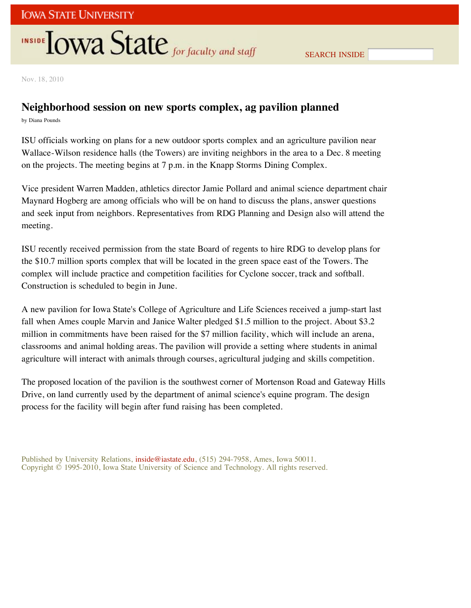# **INSIDE TOWA State** for faculty and staff

Nov. 18, 2010

## **Neighborhood session on new sports complex, ag pavilion planned**

by Diana Pounds

ISU officials working on plans for a new outdoor sports complex and an agriculture pavilion near Wallace-Wilson residence halls (the Towers) are inviting neighbors in the area to a Dec. 8 meeting on the projects. The meeting begins at 7 p.m. in the Knapp Storms Dining Complex.

Vice president Warren Madden, athletics director Jamie Pollard and animal science department chair Maynard Hogberg are among officials who will be on hand to discuss the plans, answer questions and seek input from neighbors. Representatives from RDG Planning and Design also will attend the meeting.

ISU recently received permission from the state Board of regents to hire RDG to develop plans for the \$10.7 million sports complex that will be located in the green space east of the Towers. The complex will include practice and competition facilities for Cyclone soccer, track and softball. Construction is scheduled to begin in June.

A new pavilion for Iowa State's College of Agriculture and Life Sciences received a jump-start last fall when Ames couple Marvin and Janice Walter pledged \$1.5 million to the project. About \$3.2 million in commitments have been raised for the \$7 million facility, which will include an arena, classrooms and animal holding areas. The pavilion will provide a setting where students in animal agriculture will interact with animals through courses, agricultural judging and skills competition.

The proposed location of the pavilion is the southwest corner of Mortenson Road and Gateway Hills Drive, on land currently used by the department of animal science's equine program. The design process for the facility will begin after fund raising has been completed.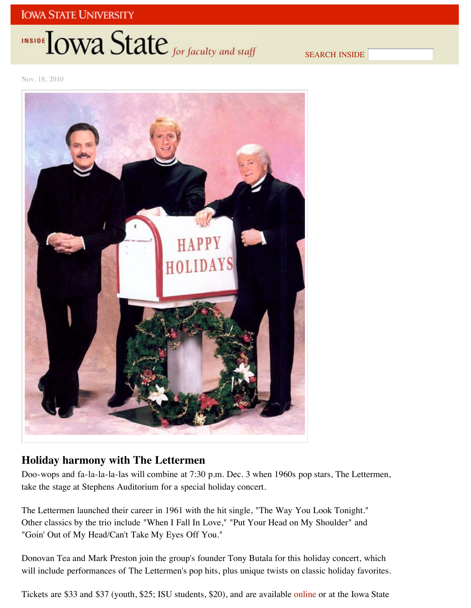# INSIDE **IOWA State** for faculty and staff

SEARCH INSIDE

Nov. 18, 2010



## **Holiday harmony with The Lettermen**

Doo-wops and fa-la-la-la-las will combine at 7:30 p.m. Dec. 3 when 1960s pop stars, The Lettermen, take the stage at Stephens Auditorium for a special holiday concert.

The Lettermen launched their career in 1961 with the hit single, "The Way You Look Tonight." Other classics by the trio include "When I Fall In Love," "Put Your Head on My Shoulder" and "Goin' Out of My Head/Can't Take My Eyes Off You."

Donovan Tea and Mark Preston join the group's founder Tony Butala for this holiday concert, which will include performances of The Lettermen's pop hits, plus unique twists on classic holiday favorites.

Tickets are \$33 and \$37 (youth, \$25; ISU students, \$20), and are available online or at the Iowa State